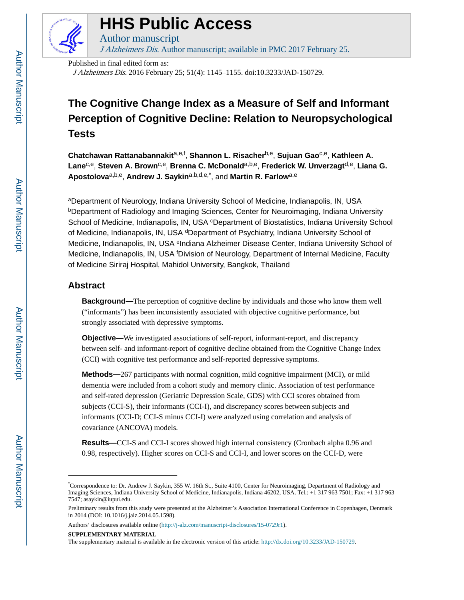

# **HHS Public Access**

Author manuscript J Alzheimers Dis. Author manuscript; available in PMC 2017 February 25.

Published in final edited form as:

J Alzheimers Dis. 2016 February 25; 51(4): 1145–1155. doi:10.3233/JAD-150729.

## **The Cognitive Change Index as a Measure of Self and Informant Perception of Cognitive Decline: Relation to Neuropsychological Tests**

**Chatchawan Rattanabannakit**a,e,f , **Shannon L. Risacher**b,e, **Sujuan Gao**c,e, **Kathleen A. Lane**c,e, **Steven A. Brown**c,e, **Brenna C. McDonald**a,b,e, **Frederick W. Unverzagt**d,e, **Liana G. Apostolova**a,b,e, **Andrew J. Saykin**a,b,d,e,\*, and **Martin R. Farlow**a,e

<sup>a</sup>Department of Neurology, Indiana University School of Medicine, Indianapolis, IN, USA <sup>b</sup>Department of Radiology and Imaging Sciences, Center for Neuroimaging, Indiana University School of Medicine, Indianapolis, IN, USA <sup>c</sup>Department of Biostatistics, Indiana University School of Medicine, Indianapolis, IN, USA dDepartment of Psychiatry, Indiana University School of Medicine, Indianapolis, IN, USA eIndiana Alzheimer Disease Center, Indiana University School of Medicine, Indianapolis, IN, USA <sup>f</sup>Division of Neurology, Department of Internal Medicine, Faculty of Medicine Siriraj Hospital, Mahidol University, Bangkok, Thailand

## **Abstract**

**Background—**The perception of cognitive decline by individuals and those who know them well ("informants") has been inconsistently associated with objective cognitive performance, but strongly associated with depressive symptoms.

**Objective—**We investigated associations of self-report, informant-report, and discrepancy between self- and informant-report of cognitive decline obtained from the Cognitive Change Index (CCI) with cognitive test performance and self-reported depressive symptoms.

**Methods—**267 participants with normal cognition, mild cognitive impairment (MCI), or mild dementia were included from a cohort study and memory clinic. Association of test performance and self-rated depression (Geriatric Depression Scale, GDS) with CCI scores obtained from subjects (CCI-S), their informants (CCI-I), and discrepancy scores between subjects and informants (CCI-D; CCI-S minus CCI-I) were analyzed using correlation and analysis of covariance (ANCOVA) models.

**Results—**CCI-S and CCI-I scores showed high internal consistency (Cronbach alpha 0.96 and 0.98, respectively). Higher scores on CCI-S and CCI-I, and lower scores on the CCI-D, were

#### **SUPPLEMENTARY MATERIAL**

The supplementary material is available in the electronic version of this article:<http://dx.doi.org/10.3233/JAD-150729>.

<sup>\*</sup>Correspondence to: Dr. Andrew J. Saykin, 355 W. 16th St., Suite 4100, Center for Neuroimaging, Department of Radiology and Imaging Sciences, Indiana University School of Medicine, Indianapolis, Indiana 46202, USA. Tel.: +1 317 963 7501; Fax: +1 317 963 7547; asaykin@iupui.edu.

Preliminary results from this study were presented at the Alzheimer's Association International Conference in Copenhagen, Denmark in 2014 (DOI: 10.1016/j.jalz.2014.05.1598).

Authors' disclosures available online [\(http://j-alz.com/manuscript-disclosures/15-0729r1\)](http://j-alz.com/manuscript-disclosures/15-0729r1).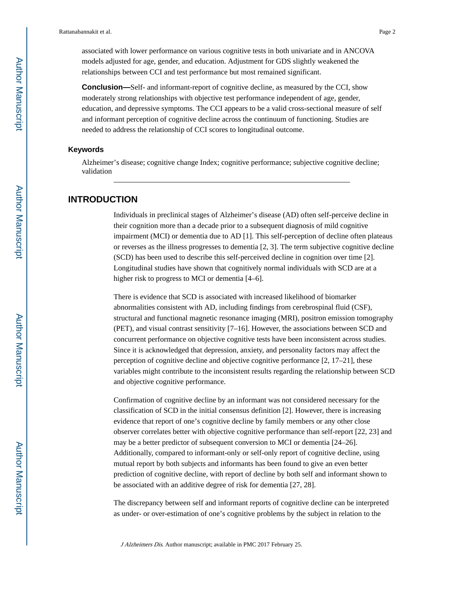associated with lower performance on various cognitive tests in both univariate and in ANCOVA models adjusted for age, gender, and education. Adjustment for GDS slightly weakened the relationships between CCI and test performance but most remained significant.

**Conclusion—**Self- and informant-report of cognitive decline, as measured by the CCI, show moderately strong relationships with objective test performance independent of age, gender, education, and depressive symptoms. The CCI appears to be a valid cross-sectional measure of self and informant perception of cognitive decline across the continuum of functioning. Studies are needed to address the relationship of CCI scores to longitudinal outcome.

#### **Keywords**

Alzheimer's disease; cognitive change Index; cognitive performance; subjective cognitive decline; validation

#### **INTRODUCTION**

Individuals in preclinical stages of Alzheimer's disease (AD) often self-perceive decline in their cognition more than a decade prior to a subsequent diagnosis of mild cognitive impairment (MCI) or dementia due to AD [1]. This self-perception of decline often plateaus or reverses as the illness progresses to dementia [2, 3]. The term subjective cognitive decline (SCD) has been used to describe this self-perceived decline in cognition over time [2]. Longitudinal studies have shown that cognitively normal individuals with SCD are at a higher risk to progress to MCI or dementia [4–6].

There is evidence that SCD is associated with increased likelihood of biomarker abnormalities consistent with AD, including findings from cerebrospinal fluid (CSF), structural and functional magnetic resonance imaging (MRI), positron emission tomography (PET), and visual contrast sensitivity [7–16]. However, the associations between SCD and concurrent performance on objective cognitive tests have been inconsistent across studies. Since it is acknowledged that depression, anxiety, and personality factors may affect the perception of cognitive decline and objective cognitive performance  $[2, 17-21]$ , these variables might contribute to the inconsistent results regarding the relationship between SCD and objective cognitive performance.

Confirmation of cognitive decline by an informant was not considered necessary for the classification of SCD in the initial consensus definition [2]. However, there is increasing evidence that report of one's cognitive decline by family members or any other close observer correlates better with objective cognitive performance than self-report [22, 23] and may be a better predictor of subsequent conversion to MCI or dementia [24–26]. Additionally, compared to informant-only or self-only report of cognitive decline, using mutual report by both subjects and informants has been found to give an even better prediction of cognitive decline, with report of decline by both self and informant shown to be associated with an additive degree of risk for dementia [27, 28].

The discrepancy between self and informant reports of cognitive decline can be interpreted as under- or over-estimation of one's cognitive problems by the subject in relation to the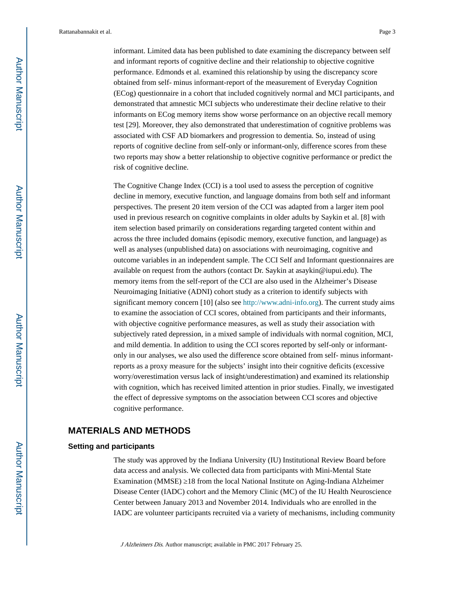informant. Limited data has been published to date examining the discrepancy between self and informant reports of cognitive decline and their relationship to objective cognitive performance. Edmonds et al. examined this relationship by using the discrepancy score obtained from self- minus informant-report of the measurement of Everyday Cognition (ECog) questionnaire in a cohort that included cognitively normal and MCI participants, and demonstrated that amnestic MCI subjects who underestimate their decline relative to their informants on ECog memory items show worse performance on an objective recall memory test [29]. Moreover, they also demonstrated that underestimation of cognitive problems was associated with CSF AD biomarkers and progression to dementia. So, instead of using reports of cognitive decline from self-only or informant-only, difference scores from these two reports may show a better relationship to objective cognitive performance or predict the risk of cognitive decline.

The Cognitive Change Index (CCI) is a tool used to assess the perception of cognitive decline in memory, executive function, and language domains from both self and informant perspectives. The present 20 item version of the CCI was adapted from a larger item pool used in previous research on cognitive complaints in older adults by Saykin et al. [8] with item selection based primarily on considerations regarding targeted content within and across the three included domains (episodic memory, executive function, and language) as well as analyses (unpublished data) on associations with neuroimaging, cognitive and outcome variables in an independent sample. The CCI Self and Informant questionnaires are available on request from the authors (contact Dr. Saykin at asaykin@iupui.edu). The memory items from the self-report of the CCI are also used in the Alzheimer's Disease Neuroimaging Initiative (ADNI) cohort study as a criterion to identify subjects with significant memory concern [10] (also see [http://www.adni-info.org\)](http://www.adni-info.org). The current study aims to examine the association of CCI scores, obtained from participants and their informants, with objective cognitive performance measures, as well as study their association with subjectively rated depression, in a mixed sample of individuals with normal cognition, MCI, and mild dementia. In addition to using the CCI scores reported by self-only or informantonly in our analyses, we also used the difference score obtained from self- minus informantreports as a proxy measure for the subjects' insight into their cognitive deficits (excessive worry/overestimation versus lack of insight/underestimation) and examined its relationship with cognition, which has received limited attention in prior studies. Finally, we investigated the effect of depressive symptoms on the association between CCI scores and objective cognitive performance.

## **MATERIALS AND METHODS**

#### **Setting and participants**

The study was approved by the Indiana University (IU) Institutional Review Board before data access and analysis. We collected data from participants with Mini-Mental State Examination (MMSE) 18 from the local National Institute on Aging-Indiana Alzheimer Disease Center (IADC) cohort and the Memory Clinic (MC) of the IU Health Neuroscience Center between January 2013 and November 2014. Individuals who are enrolled in the IADC are volunteer participants recruited via a variety of mechanisms, including community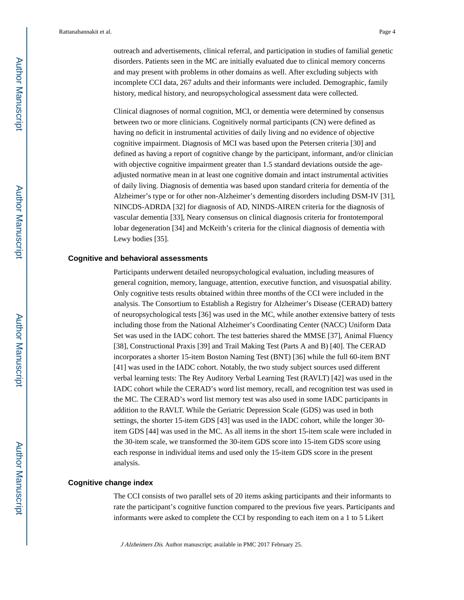outreach and advertisements, clinical referral, and participation in studies of familial genetic disorders. Patients seen in the MC are initially evaluated due to clinical memory concerns and may present with problems in other domains as well. After excluding subjects with incomplete CCI data, 267 adults and their informants were included. Demographic, family history, medical history, and neuropsychological assessment data were collected.

Clinical diagnoses of normal cognition, MCI, or dementia were determined by consensus between two or more clinicians. Cognitively normal participants (CN) were defined as having no deficit in instrumental activities of daily living and no evidence of objective cognitive impairment. Diagnosis of MCI was based upon the Petersen criteria [30] and defined as having a report of cognitive change by the participant, informant, and/or clinician with objective cognitive impairment greater than 1.5 standard deviations outside the ageadjusted normative mean in at least one cognitive domain and intact instrumental activities of daily living. Diagnosis of dementia was based upon standard criteria for dementia of the Alzheimer's type or for other non-Alzheimer's dementing disorders including DSM-IV [31], NINCDS-ADRDA [32] for diagnosis of AD, NINDS-AIREN criteria for the diagnosis of vascular dementia [33], Neary consensus on clinical diagnosis criteria for frontotemporal lobar degeneration [34] and McKeith's criteria for the clinical diagnosis of dementia with Lewy bodies [35].

#### **Cognitive and behavioral assessments**

Participants underwent detailed neuropsychological evaluation, including measures of general cognition, memory, language, attention, executive function, and visuospatial ability. Only cognitive tests results obtained within three months of the CCI were included in the analysis. The Consortium to Establish a Registry for Alzheimer's Disease (CERAD) battery of neuropsychological tests [36] was used in the MC, while another extensive battery of tests including those from the National Alzheimer's Coordinating Center (NACC) Uniform Data Set was used in the IADC cohort. The test batteries shared the MMSE [37], Animal Fluency [38], Constructional Praxis [39] and Trail Making Test (Parts A and B) [40]. The CERAD incorporates a shorter 15-item Boston Naming Test (BNT) [36] while the full 60-item BNT [41] was used in the IADC cohort. Notably, the two study subject sources used different verbal learning tests: The Rey Auditory Verbal Learning Test (RAVLT) [42] was used in the IADC cohort while the CERAD's word list memory, recall, and recognition test was used in the MC. The CERAD's word list memory test was also used in some IADC participants in addition to the RAVLT. While the Geriatric Depression Scale (GDS) was used in both settings, the shorter 15-item GDS [43] was used in the IADC cohort, while the longer 30 item GDS [44] was used in the MC. As all items in the short 15-item scale were included in the 30-item scale, we transformed the 30-item GDS score into 15-item GDS score using each response in individual items and used only the 15-item GDS score in the present analysis.

#### **Cognitive change index**

The CCI consists of two parallel sets of 20 items asking participants and their informants to rate the participant's cognitive function compared to the previous five years. Participants and informants were asked to complete the CCI by responding to each item on a 1 to 5 Likert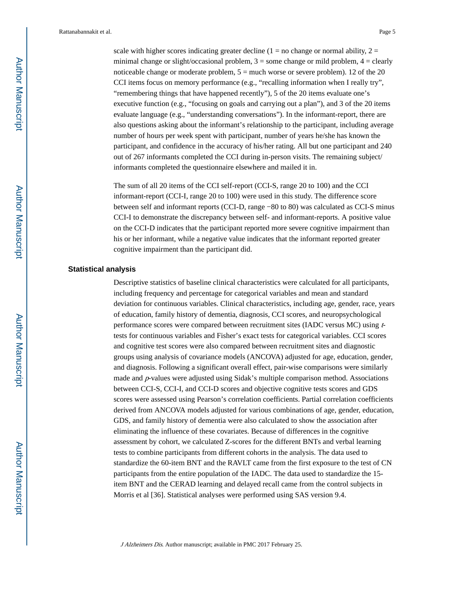scale with higher scores indicating greater decline ( $1 =$  no change or normal ability,  $2 =$ minimal change or slight/occasional problem,  $3 =$  some change or mild problem,  $4 =$  clearly noticeable change or moderate problem,  $5 =$  much worse or severe problem). 12 of the 20 CCI items focus on memory performance (e.g., "recalling information when I really try", "remembering things that have happened recently"), 5 of the 20 items evaluate one's executive function (e.g., "focusing on goals and carrying out a plan"), and 3 of the 20 items evaluate language (e.g., "understanding conversations"). In the informant-report, there are also questions asking about the informant's relationship to the participant, including average number of hours per week spent with participant, number of years he/she has known the participant, and confidence in the accuracy of his/her rating. All but one participant and 240 out of 267 informants completed the CCI during in-person visits. The remaining subject/ informants completed the questionnaire elsewhere and mailed it in.

The sum of all 20 items of the CCI self-report (CCI-S, range 20 to 100) and the CCI informant-report (CCI-I, range 20 to 100) were used in this study. The difference score between self and informant reports (CCI-D, range −80 to 80) was calculated as CCI-S minus CCI-I to demonstrate the discrepancy between self- and informant-reports. A positive value on the CCI-D indicates that the participant reported more severe cognitive impairment than his or her informant, while a negative value indicates that the informant reported greater cognitive impairment than the participant did.

#### **Statistical analysis**

Descriptive statistics of baseline clinical characteristics were calculated for all participants, including frequency and percentage for categorical variables and mean and standard deviation for continuous variables. Clinical characteristics, including age, gender, race, years of education, family history of dementia, diagnosis, CCI scores, and neuropsychological performance scores were compared between recruitment sites (IADC versus MC) using  $t$ tests for continuous variables and Fisher's exact tests for categorical variables. CCI scores and cognitive test scores were also compared between recruitment sites and diagnostic groups using analysis of covariance models (ANCOVA) adjusted for age, education, gender, and diagnosis. Following a significant overall effect, pair-wise comparisons were similarly made and  $p$ -values were adjusted using Sidak's multiple comparison method. Associations between CCI-S, CCI-I, and CCI-D scores and objective cognitive tests scores and GDS scores were assessed using Pearson's correlation coefficients. Partial correlation coefficients derived from ANCOVA models adjusted for various combinations of age, gender, education, GDS, and family history of dementia were also calculated to show the association after eliminating the influence of these covariates. Because of differences in the cognitive assessment by cohort, we calculated Z-scores for the different BNTs and verbal learning tests to combine participants from different cohorts in the analysis. The data used to standardize the 60-item BNT and the RAVLT came from the first exposure to the test of CN participants from the entire population of the IADC. The data used to standardize the 15 item BNT and the CERAD learning and delayed recall came from the control subjects in Morris et al [36]. Statistical analyses were performed using SAS version 9.4.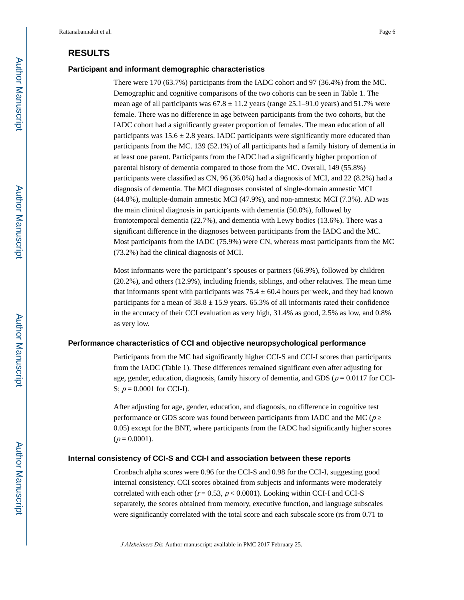## **RESULTS**

#### **Participant and informant demographic characteristics**

There were 170 (63.7%) participants from the IADC cohort and 97 (36.4%) from the MC. Demographic and cognitive comparisons of the two cohorts can be seen in Table 1. The mean age of all participants was  $67.8 \pm 11.2$  years (range  $25.1 - 91.0$  years) and  $51.7\%$  were female. There was no difference in age between participants from the two cohorts, but the IADC cohort had a significantly greater proportion of females. The mean education of all participants was  $15.6 \pm 2.8$  years. IADC participants were significantly more educated than participants from the MC. 139 (52.1%) of all participants had a family history of dementia in at least one parent. Participants from the IADC had a significantly higher proportion of parental history of dementia compared to those from the MC. Overall, 149 (55.8%) participants were classified as CN, 96 (36.0%) had a diagnosis of MCI, and 22 (8.2%) had a diagnosis of dementia. The MCI diagnoses consisted of single-domain amnestic MCI (44.8%), multiple-domain amnestic MCI (47.9%), and non-amnestic MCI (7.3%). AD was the main clinical diagnosis in participants with dementia (50.0%), followed by frontotemporal dementia (22.7%), and dementia with Lewy bodies (13.6%). There was a significant difference in the diagnoses between participants from the IADC and the MC. Most participants from the IADC (75.9%) were CN, whereas most participants from the MC (73.2%) had the clinical diagnosis of MCI.

Most informants were the participant's spouses or partners (66.9%), followed by children (20.2%), and others (12.9%), including friends, siblings, and other relatives. The mean time that informants spent with participants was  $75.4 \pm 60.4$  hours per week, and they had known participants for a mean of  $38.8 \pm 15.9$  years. 65.3% of all informants rated their confidence in the accuracy of their CCI evaluation as very high, 31.4% as good, 2.5% as low, and 0.8% as very low.

#### **Performance characteristics of CCI and objective neuropsychological performance**

Participants from the MC had significantly higher CCI-S and CCI-I scores than participants from the IADC (Table 1). These differences remained significant even after adjusting for age, gender, education, diagnosis, family history of dementia, and GDS ( $p = 0.0117$  for CCI-S;  $p = 0.0001$  for CCI-I).

After adjusting for age, gender, education, and diagnosis, no difference in cognitive test performance or GDS score was found between participants from IADC and the MC ( $p$ ) 0.05) except for the BNT, where participants from the IADC had significantly higher scores  $(p = 0.0001)$ .

#### **Internal consistency of CCI-S and CCI-I and association between these reports**

Cronbach alpha scores were 0.96 for the CCI-S and 0.98 for the CCI-I, suggesting good internal consistency. CCI scores obtained from subjects and informants were moderately correlated with each other ( $r = 0.53$ ,  $p < 0.0001$ ). Looking within CCI-I and CCI-S separately, the scores obtained from memory, executive function, and language subscales were significantly correlated with the total score and each subscale score (rs from 0.71 to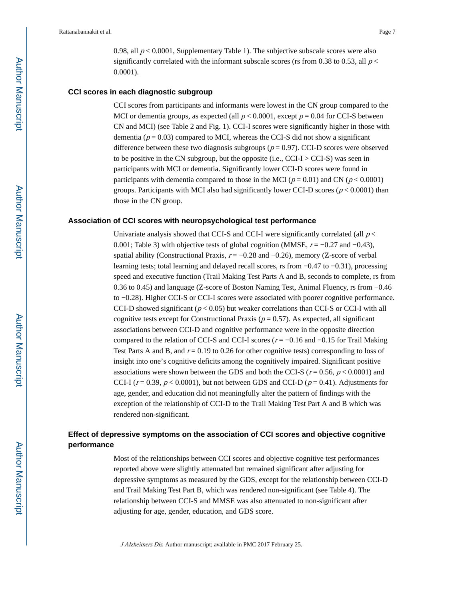0.98, all  $p < 0.0001$ , Supplementary Table 1). The subjective subscale scores were also significantly correlated with the informant subscale scores (rs from 0.38 to 0.53, all  $p \lt \theta$ ) 0.0001).

#### **CCI scores in each diagnostic subgroup**

CCI scores from participants and informants were lowest in the CN group compared to the MCI or dementia groups, as expected (all  $p < 0.0001$ , except  $p = 0.04$  for CCI-S between CN and MCI) (see Table 2 and Fig. 1). CCI-I scores were significantly higher in those with dementia ( $p = 0.03$ ) compared to MCI, whereas the CCI-S did not show a significant difference between these two diagnosis subgroups ( $p = 0.97$ ). CCI-D scores were observed to be positive in the CN subgroup, but the opposite (i.e.,  $CCI-I > CCI-S$ ) was seen in participants with MCI or dementia. Significantly lower CCI-D scores were found in participants with dementia compared to those in the MCI ( $p = 0.01$ ) and CN ( $p < 0.0001$ ) groups. Participants with MCI also had significantly lower CCI-D scores ( $p < 0.0001$ ) than those in the CN group.

#### **Association of CCI scores with neuropsychological test performance**

Univariate analysis showed that CCI-S and CCI-I were significantly correlated (all  $p <$ 0.001; Table 3) with objective tests of global cognition (MMSE,  $r = -0.27$  and  $-0.43$ ), spatial ability (Constructional Praxis,  $r = -0.28$  and  $-0.26$ ), memory (Z-score of verbal learning tests; total learning and delayed recall scores, rs from −0.47 to −0.31), processing speed and executive function (Trail Making Test Parts A and B, seconds to complete, rs from 0.36 to 0.45) and language (Z-score of Boston Naming Test, Animal Fluency, rs from −0.46 to −0.28). Higher CCI-S or CCI-I scores were associated with poorer cognitive performance. CCI-D showed significant ( $p < 0.05$ ) but weaker correlations than CCI-S or CCI-I with all cognitive tests except for Constructional Praxis ( $p = 0.57$ ). As expected, all significant associations between CCI-D and cognitive performance were in the opposite direction compared to the relation of CCI-S and CCI-I scores ( $r = -0.16$  and  $-0.15$  for Trail Making Test Parts A and B, and  $r = 0.19$  to 0.26 for other cognitive tests) corresponding to loss of insight into one's cognitive deficits among the cognitively impaired. Significant positive associations were shown between the GDS and both the CCI-S ( $r = 0.56$ ,  $p < 0.0001$ ) and CCI-I ( $r = 0.39$ ,  $p < 0.0001$ ), but not between GDS and CCI-D ( $p = 0.41$ ). Adjustments for age, gender, and education did not meaningfully alter the pattern of findings with the exception of the relationship of CCI-D to the Trail Making Test Part A and B which was rendered non-significant.

## **Effect of depressive symptoms on the association of CCI scores and objective cognitive performance**

Most of the relationships between CCI scores and objective cognitive test performances reported above were slightly attenuated but remained significant after adjusting for depressive symptoms as measured by the GDS, except for the relationship between CCI-D and Trail Making Test Part B, which was rendered non-significant (see Table 4). The relationship between CCI-S and MMSE was also attenuated to non-significant after adjusting for age, gender, education, and GDS score.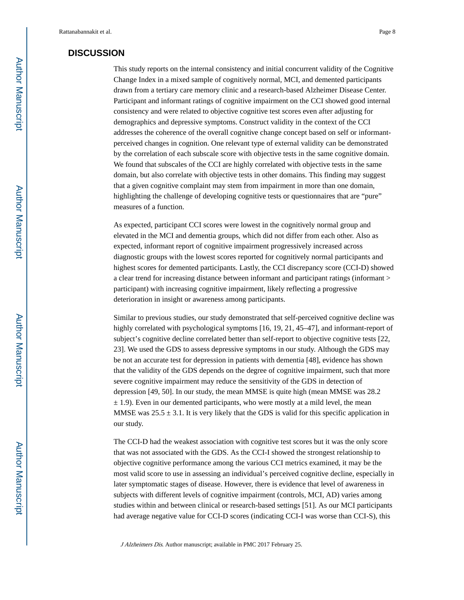## **DISCUSSION**

This study reports on the internal consistency and initial concurrent validity of the Cognitive Change Index in a mixed sample of cognitively normal, MCI, and demented participants drawn from a tertiary care memory clinic and a research-based Alzheimer Disease Center. Participant and informant ratings of cognitive impairment on the CCI showed good internal consistency and were related to objective cognitive test scores even after adjusting for demographics and depressive symptoms. Construct validity in the context of the CCI addresses the coherence of the overall cognitive change concept based on self or informantperceived changes in cognition. One relevant type of external validity can be demonstrated by the correlation of each subscale score with objective tests in the same cognitive domain. We found that subscales of the CCI are highly correlated with objective tests in the same domain, but also correlate with objective tests in other domains. This finding may suggest that a given cognitive complaint may stem from impairment in more than one domain, highlighting the challenge of developing cognitive tests or questionnaires that are "pure" measures of a function.

As expected, participant CCI scores were lowest in the cognitively normal group and elevated in the MCI and dementia groups, which did not differ from each other. Also as expected, informant report of cognitive impairment progressively increased across diagnostic groups with the lowest scores reported for cognitively normal participants and highest scores for demented participants. Lastly, the CCI discrepancy score (CCI-D) showed a clear trend for increasing distance between informant and participant ratings (informant > participant) with increasing cognitive impairment, likely reflecting a progressive deterioration in insight or awareness among participants.

Similar to previous studies, our study demonstrated that self-perceived cognitive decline was highly correlated with psychological symptoms [16, 19, 21, 45–47], and informant-report of subject's cognitive decline correlated better than self-report to objective cognitive tests [22, 23]. We used the GDS to assess depressive symptoms in our study. Although the GDS may be not an accurate test for depression in patients with dementia [48], evidence has shown that the validity of the GDS depends on the degree of cognitive impairment, such that more severe cognitive impairment may reduce the sensitivity of the GDS in detection of depression [49, 50]. In our study, the mean MMSE is quite high (mean MMSE was 28.2  $\pm$  1.9). Even in our demented participants, who were mostly at a mild level, the mean MMSE was  $25.5 \pm 3.1$ . It is very likely that the GDS is valid for this specific application in our study.

The CCI-D had the weakest association with cognitive test scores but it was the only score that was not associated with the GDS. As the CCI-I showed the strongest relationship to objective cognitive performance among the various CCI metrics examined, it may be the most valid score to use in assessing an individual's perceived cognitive decline, especially in later symptomatic stages of disease. However, there is evidence that level of awareness in subjects with different levels of cognitive impairment (controls, MCI, AD) varies among studies within and between clinical or research-based settings [51]. As our MCI participants had average negative value for CCI-D scores (indicating CCI-I was worse than CCI-S), this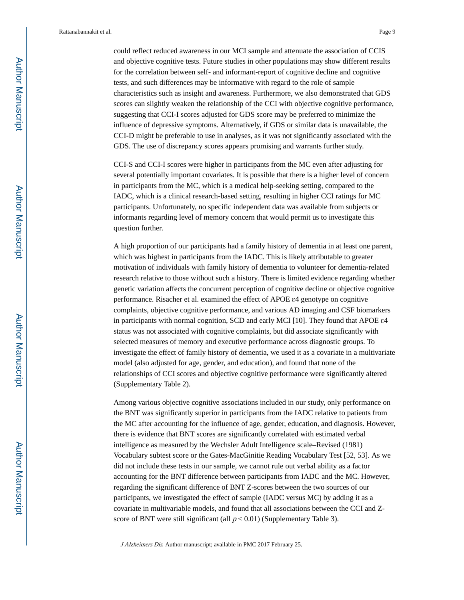could reflect reduced awareness in our MCI sample and attenuate the association of CCIS and objective cognitive tests. Future studies in other populations may show different results for the correlation between self- and informant-report of cognitive decline and cognitive tests, and such differences may be informative with regard to the role of sample characteristics such as insight and awareness. Furthermore, we also demonstrated that GDS scores can slightly weaken the relationship of the CCI with objective cognitive performance, suggesting that CCI-I scores adjusted for GDS score may be preferred to minimize the influence of depressive symptoms. Alternatively, if GDS or similar data is unavailable, the CCI-D might be preferable to use in analyses, as it was not significantly associated with the GDS. The use of discrepancy scores appears promising and warrants further study.

CCI-S and CCI-I scores were higher in participants from the MC even after adjusting for several potentially important covariates. It is possible that there is a higher level of concern in participants from the MC, which is a medical help-seeking setting, compared to the IADC, which is a clinical research-based setting, resulting in higher CCI ratings for MC participants. Unfortunately, no specific independent data was available from subjects or informants regarding level of memory concern that would permit us to investigate this question further.

A high proportion of our participants had a family history of dementia in at least one parent, which was highest in participants from the IADC. This is likely attributable to greater motivation of individuals with family history of dementia to volunteer for dementia-related research relative to those without such a history. There is limited evidence regarding whether genetic variation affects the concurrent perception of cognitive decline or objective cognitive performance. Risacher et al. examined the effect of APOE ε4 genotype on cognitive complaints, objective cognitive performance, and various AD imaging and CSF biomarkers in participants with normal cognition, SCD and early MCI [10]. They found that APOE  $\varepsilon$ 4 status was not associated with cognitive complaints, but did associate significantly with selected measures of memory and executive performance across diagnostic groups. To investigate the effect of family history of dementia, we used it as a covariate in a multivariate model (also adjusted for age, gender, and education), and found that none of the relationships of CCI scores and objective cognitive performance were significantly altered (Supplementary Table 2).

Among various objective cognitive associations included in our study, only performance on the BNT was significantly superior in participants from the IADC relative to patients from the MC after accounting for the influence of age, gender, education, and diagnosis. However, there is evidence that BNT scores are significantly correlated with estimated verbal intelligence as measured by the Wechsler Adult Intelligence scale–Revised (1981) Vocabulary subtest score or the Gates-MacGinitie Reading Vocabulary Test [52, 53]. As we did not include these tests in our sample, we cannot rule out verbal ability as a factor accounting for the BNT difference between participants from IADC and the MC. However, regarding the significant difference of BNT Z-scores between the two sources of our participants, we investigated the effect of sample (IADC versus MC) by adding it as a covariate in multivariable models, and found that all associations between the CCI and Zscore of BNT were still significant (all  $p < 0.01$ ) (Supplementary Table 3).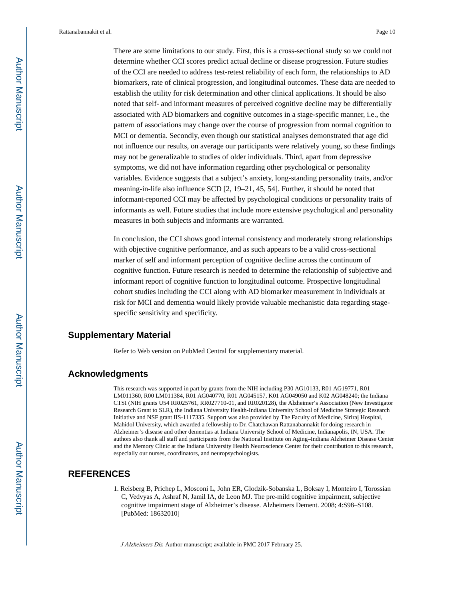There are some limitations to our study. First, this is a cross-sectional study so we could not determine whether CCI scores predict actual decline or disease progression. Future studies of the CCI are needed to address test-retest reliability of each form, the relationships to AD biomarkers, rate of clinical progression, and longitudinal outcomes. These data are needed to establish the utility for risk determination and other clinical applications. It should be also noted that self- and informant measures of perceived cognitive decline may be differentially associated with AD biomarkers and cognitive outcomes in a stage-specific manner, i.e., the pattern of associations may change over the course of progression from normal cognition to MCI or dementia. Secondly, even though our statistical analyses demonstrated that age did not influence our results, on average our participants were relatively young, so these findings may not be generalizable to studies of older individuals. Third, apart from depressive symptoms, we did not have information regarding other psychological or personality variables. Evidence suggests that a subject's anxiety, long-standing personality traits, and/or meaning-in-life also influence SCD [2, 19–21, 45, 54]. Further, it should be noted that informant-reported CCI may be affected by psychological conditions or personality traits of informants as well. Future studies that include more extensive psychological and personality measures in both subjects and informants are warranted.

In conclusion, the CCI shows good internal consistency and moderately strong relationships with objective cognitive performance, and as such appears to be a valid cross-sectional marker of self and informant perception of cognitive decline across the continuum of cognitive function. Future research is needed to determine the relationship of subjective and informant report of cognitive function to longitudinal outcome. Prospective longitudinal cohort studies including the CCI along with AD biomarker measurement in individuals at risk for MCI and dementia would likely provide valuable mechanistic data regarding stagespecific sensitivity and specificity.

## **Supplementary Material**

Refer to Web version on PubMed Central for supplementary material.

#### **Acknowledgments**

This research was supported in part by grants from the NIH including P30 AG10133, R01 AG19771, R01 LM011360, R00 LM011384, R01 AG040770, R01 AG045157, K01 AG049050 and K02 AG048240; the Indiana CTSI (NIH grants U54 RR025761, RR027710-01, and RR020128), the Alzheimer's Association (New Investigator Research Grant to SLR), the Indiana University Health-Indiana University School of Medicine Strategic Research Initiative and NSF grant IIS-1117335. Support was also provided by The Faculty of Medicine, Siriraj Hospital, Mahidol University, which awarded a fellowship to Dr. Chatchawan Rattanabannakit for doing research in Alzheimer's disease and other dementias at Indiana University School of Medicine, Indianapolis, IN, USA. The authors also thank all staff and participants from the National Institute on Aging–Indiana Alzheimer Disease Center and the Memory Clinic at the Indiana University Health Neuroscience Center for their contribution to this research, especially our nurses, coordinators, and neuropsychologists.

#### **REFERENCES**

1. Reisberg B, Prichep L, Mosconi L, John ER, Glodzik-Sobanska L, Boksay I, Monteiro I, Torossian C, Vedvyas A, Ashraf N, Jamil IA, de Leon MJ. The pre-mild cognitive impairment, subjective cognitive impairment stage of Alzheimer's disease. Alzheimers Dement. 2008; 4:S98–S108. [PubMed: 18632010]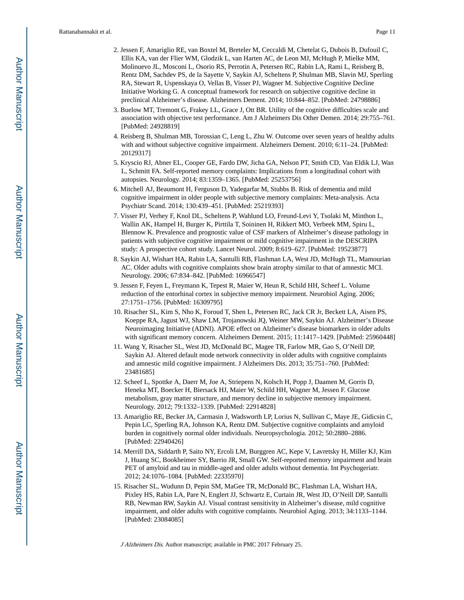- 2. Jessen F, Amariglio RE, van Boxtel M, Breteler M, Ceccaldi M, Chetelat G, Dubois B, Dufouil C, Ellis KA, van der Flier WM, Glodzik L, van Harten AC, de Leon MJ, McHugh P, Mielke MM, Molinuevo JL, Mosconi L, Osorio RS, Perrotin A, Petersen RC, Rabin LA, Rami L, Reisberg B, Rentz DM, Sachdev PS, de la Sayette V, Saykin AJ, Scheltens P, Shulman MB, Slavin MJ, Sperling RA, Stewart R, Uspenskaya O, Vellas B, Visser PJ, Wagner M. Subjective Cognitive Decline Initiative Working G. A conceptual framework for research on subjective cognitive decline in preclinical Alzheimer's disease. Alzheimers Dement. 2014; 10:844–852. [PubMed: 24798886]
- 3. Buelow MT, Tremont G, Frakey LL, Grace J, Ott BR. Utility of the cognitive difficulties scale and association with objective test performance. Am J Alzheimers Dis Other Demen. 2014; 29:755–761. [PubMed: 24928819]
- 4. Reisberg B, Shulman MB, Torossian C, Leng L, Zhu W. Outcome over seven years of healthy adults with and without subjective cognitive impairment. Alzheimers Dement. 2010; 6:11-24. [PubMed: 20129317]
- 5. Kryscio RJ, Abner EL, Cooper GE, Fardo DW, Jicha GA, Nelson PT, Smith CD, Van Eldik LJ, Wan L, Schmitt FA. Self-reported memory complaints: Implications from a longitudinal cohort with autopsies. Neurology. 2014; 83:1359–1365. [PubMed: 25253756]
- 6. Mitchell AJ, Beaumont H, Ferguson D, Yadegarfar M, Stubbs B. Risk of dementia and mild cognitive impairment in older people with subjective memory complaints: Meta-analysis. Acta Psychiatr Scand. 2014; 130:439–451. [PubMed: 25219393]
- 7. Visser PJ, Verhey F, Knol DL, Scheltens P, Wahlund LO, Freund-Levi Y, Tsolaki M, Minthon L, Wallin AK, Hampel H, Burger K, Pirttila T, Soininen H, Rikkert MO, Verbeek MM, Spiru L, Blennow K. Prevalence and prognostic value of CSF markers of Alzheimer's disease pathology in patients with subjective cognitive impairment or mild cognitive impairment in the DESCRIPA study: A prospective cohort study. Lancet Neurol. 2009; 8:619–627. [PubMed: 19523877]
- 8. Saykin AJ, Wishart HA, Rabin LA, Santulli RB, Flashman LA, West JD, McHugh TL, Mamourian AC. Older adults with cognitive complaints show brain atrophy similar to that of amnestic MCI. Neurology. 2006; 67:834–842. [PubMed: 16966547]
- 9. Jessen F, Feyen L, Freymann K, Tepest R, Maier W, Heun R, Schild HH, Scheef L. Volume reduction of the entorhinal cortex in subjective memory impairment. Neurobiol Aging. 2006; 27:1751–1756. [PubMed: 16309795]
- 10. Risacher SL, Kim S, Nho K, Foroud T, Shen L, Petersen RC, Jack CR Jr, Beckett LA, Aisen PS, Koeppe RA, Jagust WJ, Shaw LM, Trojanowski JQ, Weiner MW, Saykin AJ. Alzheimer's Disease Neuroimaging Initiative (ADNI). APOE effect on Alzheimer's disease biomarkers in older adults with significant memory concern. Alzheimers Dement. 2015; 11:1417–1429. [PubMed: 25960448]
- 11. Wang Y, Risacher SL, West JD, McDonald BC, Magee TR, Farlow MR, Gao S, O'Neill DP, Saykin AJ. Altered default mode network connectivity in older adults with cognitive complaints and amnestic mild cognitive impairment. J Alzheimers Dis. 2013; 35:751–760. [PubMed: 23481685]
- 12. Scheef L, Spottke A, Daerr M, Joe A, Striepens N, Kolsch H, Popp J, Daamen M, Gorris D, Heneka MT, Boecker H, Biersack HJ, Maier W, Schild HH, Wagner M, Jessen F. Glucose metabolism, gray matter structure, and memory decline in subjective memory impairment. Neurology. 2012; 79:1332–1339. [PubMed: 22914828]
- 13. Amariglio RE, Becker JA, Carmasin J, Wadsworth LP, Lorius N, Sullivan C, Maye JE, Gidicsin C, Pepin LC, Sperling RA, Johnson KA, Rentz DM. Subjective cognitive complaints and amyloid burden in cognitively normal older individuals. Neuropsychologia. 2012; 50:2880–2886. [PubMed: 22940426]
- 14. Merrill DA, Siddarth P, Saito NY, Ercoli LM, Burggren AC, Kepe V, Lavretsky H, Miller KJ, Kim J, Huang SC, Bookheimer SY, Barrio JR, Small GW. Self-reported memory impairment and brain PET of amyloid and tau in middle-aged and older adults without dementia. Int Psychogeriatr. 2012; 24:1076–1084. [PubMed: 22335970]
- 15. Risacher SL, Wudunn D, Pepin SM, MaGee TR, McDonald BC, Flashman LA, Wishart HA, Pixley HS, Rabin LA, Pare N, Englert JJ, Schwartz E, Curtain JR, West JD, O'Neill DP, Santulli RB, Newman RW, Saykin AJ. Visual contrast sensitivity in Alzheimer's disease, mild cognitive impairment, and older adults with cognitive complaints. Neurobiol Aging. 2013; 34:1133–1144. [PubMed: 23084085]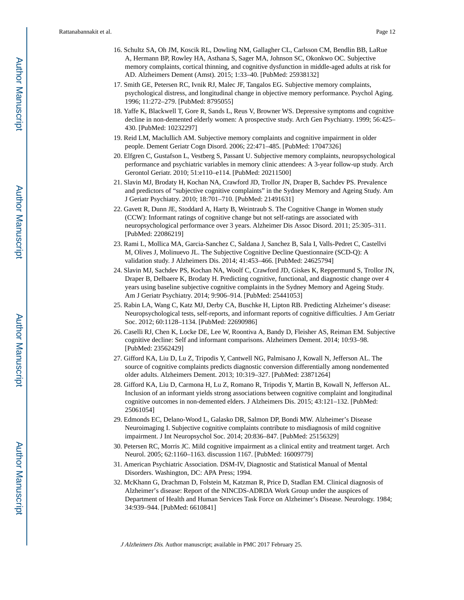- 16. Schultz SA, Oh JM, Koscik RL, Dowling NM, Gallagher CL, Carlsson CM, Bendlin BB, LaRue A, Hermann BP, Rowley HA, Asthana S, Sager MA, Johnson SC, Okonkwo OC. Subjective memory complaints, cortical thinning, and cognitive dysfunction in middle-aged adults at risk for AD. Alzheimers Dement (Amst). 2015; 1:33–40. [PubMed: 25938132]
- 17. Smith GE, Petersen RC, Ivnik RJ, Malec JF, Tangalos EG. Subjective memory complaints, psychological distress, and longitudinal change in objective memory performance. Psychol Aging. 1996; 11:272–279. [PubMed: 8795055]
- 18. Yaffe K, Blackwell T, Gore R, Sands L, Reus V, Browner WS. Depressive symptoms and cognitive decline in non-demented elderly women: A prospective study. Arch Gen Psychiatry. 1999; 56:425– 430. [PubMed: 10232297]
- 19. Reid LM, Maclullich AM. Subjective memory complaints and cognitive impairment in older people. Dement Geriatr Cogn Disord. 2006; 22:471–485. [PubMed: 17047326]
- 20. Elfgren C, Gustafson L, Vestberg S, Passant U. Subjective memory complaints, neuropsychological performance and psychiatric variables in memory clinic attendees: A 3-year follow-up study. Arch Gerontol Geriatr. 2010; 51:e110–e114. [PubMed: 20211500]
- 21. Slavin MJ, Brodaty H, Kochan NA, Crawford JD, Trollor JN, Draper B, Sachdev PS. Prevalence and predictors of "subjective cognitive complaints" in the Sydney Memory and Ageing Study. Am J Geriatr Psychiatry. 2010; 18:701–710. [PubMed: 21491631]
- 22. Gavett R, Dunn JE, Stoddard A, Harty B, Weintraub S. The Cognitive Change in Women study (CCW): Informant ratings of cognitive change but not self-ratings are associated with neuropsychological performance over 3 years. Alzheimer Dis Assoc Disord. 2011; 25:305–311. [PubMed: 22086219]
- 23. Rami L, Mollica MA, Garcia-Sanchez C, Saldana J, Sanchez B, Sala I, Valls-Pedret C, Castellvi M, Olives J, Molinuevo JL. The Subjective Cognitive Decline Questionnaire (SCD-Q): A validation study. J Alzheimers Dis. 2014; 41:453–466. [PubMed: 24625794]
- 24. Slavin MJ, Sachdev PS, Kochan NA, Woolf C, Crawford JD, Giskes K, Reppermund S, Trollor JN, Draper B, Delbaere K, Brodaty H. Predicting cognitive, functional, and diagnostic change over 4 years using baseline subjective cognitive complaints in the Sydney Memory and Ageing Study. Am J Geriatr Psychiatry. 2014; 9:906–914. [PubMed: 25441053]
- 25. Rabin LA, Wang C, Katz MJ, Derby CA, Buschke H, Lipton RB. Predicting Alzheimer's disease: Neuropsychological tests, self-reports, and informant reports of cognitive difficulties. J Am Geriatr Soc. 2012; 60:1128–1134. [PubMed: 22690986]
- 26. Caselli RJ, Chen K, Locke DE, Lee W, Roontiva A, Bandy D, Fleisher AS, Reiman EM. Subjective cognitive decline: Self and informant comparisons. Alzheimers Dement. 2014; 10:93–98. [PubMed: 23562429]
- 27. Gifford KA, Liu D, Lu Z, Tripodis Y, Cantwell NG, Palmisano J, Kowall N, Jefferson AL. The source of cognitive complaints predicts diagnostic conversion differentially among nondemented older adults. Alzheimers Dement. 2013; 10:319–327. [PubMed: 23871264]
- 28. Gifford KA, Liu D, Carmona H, Lu Z, Romano R, Tripodis Y, Martin B, Kowall N, Jefferson AL. Inclusion of an informant yields strong associations between cognitive complaint and longitudinal cognitive outcomes in non-demented elders. J Alzheimers Dis. 2015; 43:121–132. [PubMed: 25061054]
- 29. Edmonds EC, Delano-Wood L, Galasko DR, Salmon DP, Bondi MW. Alzheimer's Disease Neuroimaging I. Subjective cognitive complaints contribute to misdiagnosis of mild cognitive impairment. J Int Neuropsychol Soc. 2014; 20:836–847. [PubMed: 25156329]
- 30. Petersen RC, Morris JC. Mild cognitive impairment as a clinical entity and treatment target. Arch Neurol. 2005; 62:1160–1163. discussion 1167. [PubMed: 16009779]
- 31. American Psychiatric Association. DSM-IV, Diagnostic and Statistical Manual of Mental Disorders. Washington, DC: APA Press; 1994.
- 32. McKhann G, Drachman D, Folstein M, Katzman R, Price D, Stadlan EM. Clinical diagnosis of Alzheimer's disease: Report of the NINCDS-ADRDA Work Group under the auspices of Department of Health and Human Services Task Force on Alzheimer's Disease. Neurology. 1984; 34:939–944. [PubMed: 6610841]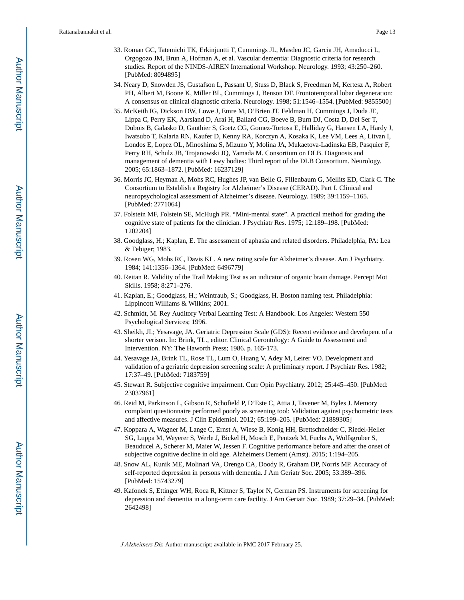- 33. Roman GC, Tatemichi TK, Erkinjuntti T, Cummings JL, Masdeu JC, Garcia JH, Amaducci L, Orgogozo JM, Brun A, Hofman A, et al. Vascular dementia: Diagnostic criteria for research studies. Report of the NINDS-AIREN International Workshop. Neurology. 1993; 43:250–260. [PubMed: 8094895]
- 34. Neary D, Snowden JS, Gustafson L, Passant U, Stuss D, Black S, Freedman M, Kertesz A, Robert PH, Albert M, Boone K, Miller BL, Cummings J, Benson DF. Frontotemporal lobar degeneration: A consensus on clinical diagnostic criteria. Neurology. 1998; 51:1546–1554. [PubMed: 9855500]
- 35. McKeith IG, Dickson DW, Lowe J, Emre M, O'Brien JT, Feldman H, Cummings J, Duda JE, Lippa C, Perry EK, Aarsland D, Arai H, Ballard CG, Boeve B, Burn DJ, Costa D, Del Ser T, Dubois B, Galasko D, Gauthier S, Goetz CG, Gomez-Tortosa E, Halliday G, Hansen LA, Hardy J, Iwatsubo T, Kalaria RN, Kaufer D, Kenny RA, Korczyn A, Kosaka K, Lee VM, Lees A, Litvan I, Londos E, Lopez OL, Minoshima S, Mizuno Y, Molina JA, Mukaetova-Ladinska EB, Pasquier F, Perry RH, Schulz JB, Trojanowski JQ, Yamada M. Consortium on DLB. Diagnosis and management of dementia with Lewy bodies: Third report of the DLB Consortium. Neurology. 2005; 65:1863–1872. [PubMed: 16237129]
- 36. Morris JC, Heyman A, Mohs RC, Hughes JP, van Belle G, Fillenbaum G, Mellits ED, Clark C. The Consortium to Establish a Registry for Alzheimer's Disease (CERAD). Part I. Clinical and neuropsychological assessment of Alzheimer's disease. Neurology. 1989; 39:1159–1165. [PubMed: 2771064]
- 37. Folstein MF, Folstein SE, McHugh PR. "Mini-mental state". A practical method for grading the cognitive state of patients for the clinician. J Psychiatr Res. 1975; 12:189–198. [PubMed: 1202204]
- 38. Goodglass, H.; Kaplan, E. The assessment of aphasia and related disorders. Philadelphia, PA: Lea & Febiger; 1983.
- 39. Rosen WG, Mohs RC, Davis KL. A new rating scale for Alzheimer's disease. Am J Psychiatry. 1984; 141:1356–1364. [PubMed: 6496779]
- 40. Reitan R. Validity of the Trail Making Test as an indicator of organic brain damage. Percept Mot Skills. 1958; 8:271–276.
- 41. Kaplan, E.; Goodglass, H.; Weintraub, S.; Goodglass, H. Boston naming test. Philadelphia: Lippincott Williams & Wilkins; 2001.
- 42. Schmidt, M. Rey Auditory Verbal Learning Test: A Handbook. Los Angeles: Western 550 Psychological Services; 1996.
- 43. Sheikh, JI.; Yesavage, JA. Geriatric Depression Scale (GDS): Recent evidence and developent of a shorter verison. In: Brink, TL., editor. Clinical Gerontology: A Guide to Assessment and Intervention. NY: The Haworth Press; 1986. p. 165-173.
- 44. Yesavage JA, Brink TL, Rose TL, Lum O, Huang V, Adey M, Leirer VO. Development and validation of a geriatric depression screening scale: A preliminary report. J Psychiatr Res. 1982; 17:37–49. [PubMed: 7183759]
- 45. Stewart R. Subjective cognitive impairment. Curr Opin Psychiatry. 2012; 25:445–450. [PubMed: 23037961]
- 46. Reid M, Parkinson L, Gibson R, Schofield P, D'Este C, Attia J, Tavener M, Byles J. Memory complaint questionnaire performed poorly as screening tool: Validation against psychometric tests and affective measures. J Clin Epidemiol. 2012; 65:199–205. [PubMed: 21889305]
- 47. Koppara A, Wagner M, Lange C, Ernst A, Wiese B, Konig HH, Brettschneider C, Riedel-Heller SG, Luppa M, Weyerer S, Werle J, Bickel H, Mosch E, Pentzek M, Fuchs A, Wolfsgruber S, Beauducel A, Scherer M, Maier W, Jessen F. Cognitive performance before and after the onset of subjective cognitive decline in old age. Alzheimers Dement (Amst). 2015; 1:194–205.
- 48. Snow AL, Kunik ME, Molinari VA, Orengo CA, Doody R, Graham DP, Norris MP. Accuracy of self-reported depression in persons with dementia. J Am Geriatr Soc. 2005; 53:389–396. [PubMed: 15743279]
- 49. Kafonek S, Ettinger WH, Roca R, Kittner S, Taylor N, German PS. Instruments for screening for depression and dementia in a long-term care facility. J Am Geriatr Soc. 1989; 37:29–34. [PubMed: 2642498]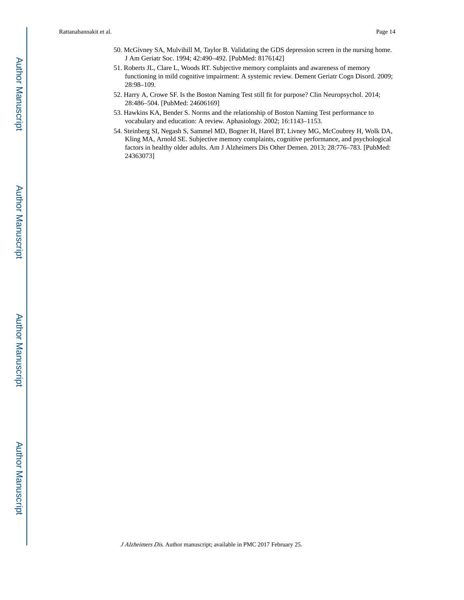- 50. McGivney SA, Mulvihill M, Taylor B. Validating the GDS depression screen in the nursing home. J Am Geriatr Soc. 1994; 42:490–492. [PubMed: 8176142]
- 51. Roberts JL, Clare L, Woods RT. Subjective memory complaints and awareness of memory functioning in mild cognitive impairment: A systemic review. Dement Geriatr Cogn Disord. 2009; 28:98–109.
- 52. Harry A, Crowe SF. Is the Boston Naming Test still fit for purpose? Clin Neuropsychol. 2014; 28:486–504. [PubMed: 24606169]
- 53. Hawkins KA, Bender S. Norms and the relationship of Boston Naming Test performance to vocabulary and education: A review. Aphasiology. 2002; 16:1143–1153.
- 54. Steinberg SI, Negash S, Sammel MD, Bogner H, Harel BT, Livney MG, McCoubrey H, Wolk DA, Kling MA, Arnold SE. Subjective memory complaints, cognitive performance, and psychological factors in healthy older adults. Am J Alzheimers Dis Other Demen. 2013; 28:776–783. [PubMed: 24363073]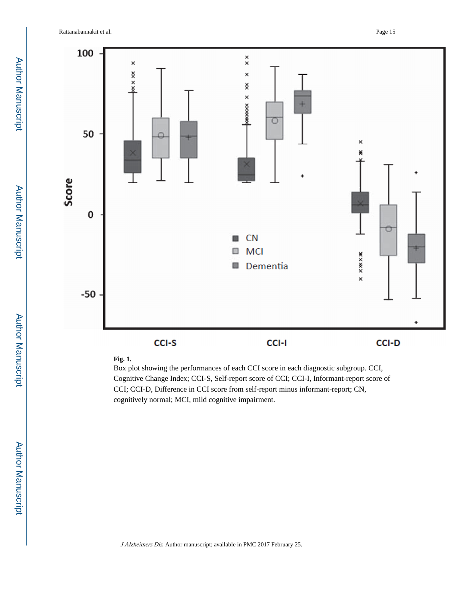

**Fig. 1.** 

Box plot showing the performances of each CCI score in each diagnostic subgroup. CCI, Cognitive Change Index; CCI-S, Self-report score of CCI; CCI-I, Informant-report score of CCI; CCI-D, Difference in CCI score from self-report minus informant-report; CN, cognitively normal; MCI, mild cognitive impairment.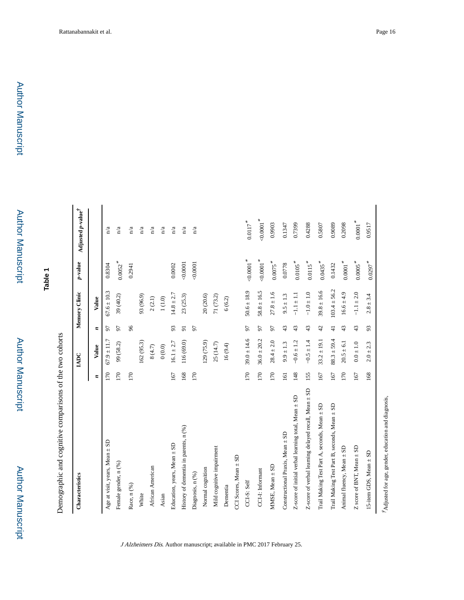**Table 1**

Demographic and cognitive comparisons of the two cohorts Demographic and cognitive comparisons of the two cohorts

| Characteristics                                            |     | IADC            |               | Memory Clinic    | p-value               | Adjusted p-value $^{\dagger}$ |
|------------------------------------------------------------|-----|-----------------|---------------|------------------|-----------------------|-------------------------------|
|                                                            | z   | Value           | z             | Value            |                       |                               |
| Age at visit, years, Mean $\pm$ SD                         | 170 | $67.9 \pm 11.7$ | 50            | $67.6 \pm 10.3$  | 0.8304                | n/a                           |
| Female gender, n (%)                                       | 170 | 99 (58.2)       | 56            | 39 (40.2)        | $0.0052$ <sup>*</sup> | n/a                           |
| Race, n (%)                                                | 170 |                 | $\delta$      |                  | 0.2941                | n/a                           |
| White                                                      |     | 162(95.3)       |               | 93 (96.9)        |                       | n/a                           |
| African American                                           |     | 8(4.7)          |               | 2(2.1)           |                       | n/a                           |
| Asian                                                      |     | (0.0)0          |               | 1(1.0)           |                       | n/a                           |
| Education, years, Mean $\pm$ SD                            | 167 | $16.1 \pm 2.7$  | 93            | $14.8 \pm 2.7$   | 0.0002                | n/a                           |
| History of dementia in parents, n (%)                      | 168 | 116 (69.0)      | 51            | 23 (25.3)        | 0.0001                | n/a                           |
| Diagnosis, n (%)                                           | 170 |                 | 57            |                  | 0.0001                | n/a                           |
| Normal cognition                                           |     | (29(75.9))      |               | 20 (20.6)        |                       |                               |
| Mild cognitive impairment                                  |     | 25 (14.7)       |               | 71 (73.2)        |                       |                               |
| Dementia                                                   |     | 16(9.4)         |               | 6(6.2)           |                       |                               |
| CCI Scores, Mean ± SD                                      |     |                 |               |                  |                       |                               |
| CCI-S: Self                                                | 170 | $39.0 \pm 14.6$ | 57            | $50.6 \pm 18.9$  | $0.0001$ *            | $0.0117\,^*$                  |
| CCI-I: Informant                                           | 170 | $36.0 \pm 20.2$ | 50            | $58.8 \pm 16.5$  | $0.0001$ *            | ${<}0.0001$ $^{*}$            |
| $MISE$ , Mean $\pm$ SD                                     | 170 | $28.4 \pm 2.0$  | 57            | $27.8 \pm 1.6$   | $0.0075$ <sup>*</sup> | 0.9903                        |
| Constructional Praxis, Mean ± SD                           | 161 | $9.9 \pm 1.3$   | 43            | $9.5 \pm 1.3$    | 0.0778                | 0.1347                        |
| Z-score of initial verbal learning total, Mean ± SD        | 148 | $-0.6 \pm 1.2$  | 43            | $-1.1 \pm 1.1$   | $0.0105$ <sup>*</sup> | 0.7399                        |
| Z-score of verbal learning delayed recall, Mean ± SD       | 155 | $-0.5 \pm 1.4$  | 43            | $-1.0 \pm 1.0$   | $0.0115*$             | 0.4288                        |
| Trail Making Test Part A, seconds, Mean ± SD               | 167 | $33.2 \pm 19.1$ | 42            | $39.8 \pm 16.6$  | $0.0435$ <sup>*</sup> | 0.5807                        |
| Trail Making Test Part B, seconds, Mean ± SD               | 167 | $88.3 \pm 59.4$ | $\frac{1}{4}$ | $103.4 \pm 56.2$ | 0.1432                | 0.9089                        |
| Animal fluency, Mean $\pm$ SD                              | 170 | $20.5 \pm 6.1$  | 43            | $16.6 \pm 4.9$   | $0.0001$ $^{\ast}$    | 0.2098                        |
| $Z$ score of BNT, Mean $\pm$ SD                            | 167 | $0.0 + 1.0$     | 43            | $-1.1 \pm 2.0$   | $0.0005$ <sup>*</sup> | $0.0001$ $^{\ast}$            |
| 15-item GDS, Mean ± SD                                     | 168 | $2.0 \pm 2.3$   | 93            | $2.8 \pm 3.4$    | $0.0297$ <sup>*</sup> | 0.9517                        |
| $\hbar$ Adjusted for age, gender, education and diagnosis, |     |                 |               |                  |                       |                               |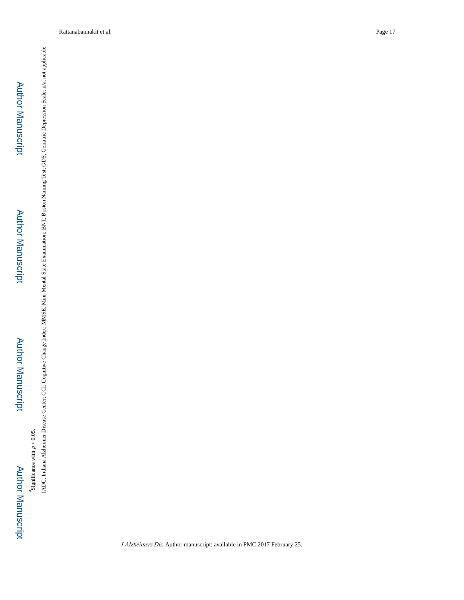\*Significance with  $\gamma$  significance with  $p < 0.05$ , IADC, Indiana Alzheimer Disease Center; CCI, Cognitive Change Index; MMSE, Mini-Mental State Examination; BNT, Boston Naming Test; GDS, Geriatric Depression Scale; n/a, not applicable. IADC, Indiana Alzheimer Disease Center; CCI, Cognitive Change Index; MMSE, Mini-Mental State Examination; BNT, Boston Naming Test; GDS, Geriatric Depression Scale; n/a, not applicable.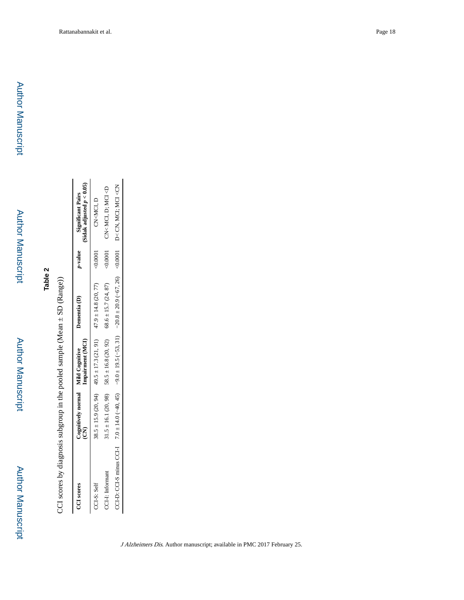Author Manuscript

**Author Manuscript** 

| <b>CCI</b> scores                                                                                                                                                                                                                                          | Cognitively normal Mild Cognitive | Impairment (MCI)                                  | Dementia (D)             | <i>p</i> -value | Sidak adjusted $p < 0.05$ )<br><b>Significant Pairs</b> |
|------------------------------------------------------------------------------------------------------------------------------------------------------------------------------------------------------------------------------------------------------------|-----------------------------------|---------------------------------------------------|--------------------------|-----------------|---------------------------------------------------------|
| CCI-S: Self                                                                                                                                                                                                                                                |                                   | $38.5 \pm 15.9$ (20, 94) $49.5 \pm 17.3$ (21, 91) | $47.9 \pm 14.8$ (20, 77) | 0.0001          | CN <mci, d<="" td=""></mci,>                            |
| CCI-I: Informant                                                                                                                                                                                                                                           |                                   | $31.5 \pm 16.1$ (20, 98) $58.5 \pm 16.8$ (20, 92) | $68.6 \pm 15.7$ (24, 87) | 0.0001          | $C N < M C 1$ , $D$ ; $M C 1 < D$                       |
| COL-D: CCL-S minus CCL-S minus CCL-S (200 -45) $-9.5(-57, 30.8 + 20.8 + 20.8 + 20.8 + 20.8 + 20.8 + 20.8 + 20.8 + 20.8 + 20.8 + 20.8 + 20.8 + 20.8 + 20.8 + 20.8 + 20.8 + 20.8 + 20.8 + 20.8 + 20.8 + 20.8 + 20.8 + 20.8 + 20.8 + 20.8 + 20.8 + 20.8 + 20$ |                                   |                                                   |                          |                 |                                                         |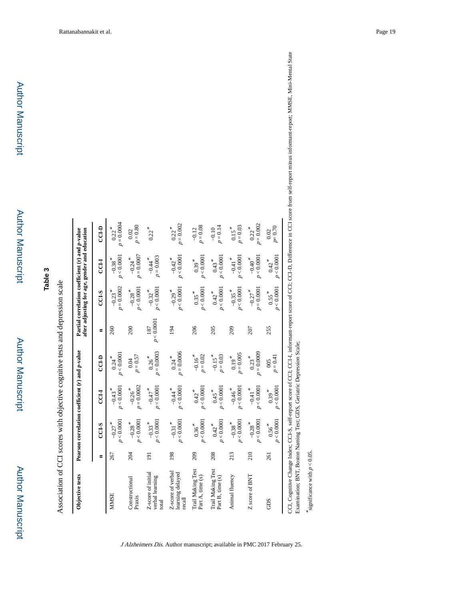| Objective tests                                 |                  |                                    | Pearson correlation coefficient (r) and p-value |                                     |                   | Partial correlation coefficient (r) and p-value<br>after adjusting for age, gender and education |                                      |                                     |
|-------------------------------------------------|------------------|------------------------------------|-------------------------------------------------|-------------------------------------|-------------------|--------------------------------------------------------------------------------------------------|--------------------------------------|-------------------------------------|
|                                                 | Ξ                | $CCI-S$                            | <b>CCLI</b>                                     | CCI-D                               | $\blacksquare$    | $CCI-S$                                                                                          | <b>CCI-I</b>                         | CCL-D                               |
| MMSE                                            | 267              | p < 0.0001<br>$-0.27$ <sup>*</sup> | p < 0.0001<br>$-0.43$ <sup>*</sup>              | p < 0.0001<br>$0.24$ <sup>*</sup>   | 260               | $p = 0.0002$<br>$-0.23$ <sup>*</sup>                                                             | p < 0.0001<br>$-0.38$ <sup>*</sup>   | $p = 0.0004$<br>$0.22$ <sup>*</sup> |
| Constructional<br>Praxis                        | <b>204</b>       | p < 0.0001<br>$-0.28$ <sup>*</sup> | $p = 0.0002$<br>$-0.26$ <sup>*</sup>            | $p=0.57$<br>0.04                    | 200               | p < 0.0001<br>$-0.28$ <sup>*</sup>                                                               | $p = 0.0007$<br>$-0.24$ <sup>*</sup> | $p = 0.80$<br>0.02                  |
| Z-score of initial<br>verbal learning<br>total  | $\overline{191}$ | p < 0.0001<br>$-0.33$ <sup>*</sup> | p < 0.0001<br>$-0.47$ <sup>*</sup>              | $p = 0.0003$<br>$0.26$ <sup>*</sup> | p < 0.0001<br>187 | p < 0.0001<br>$-0.32$ <sup>*</sup>                                                               | $p = 0.003$<br>$-0.44$ <sup>*</sup>  | $0.22$ <sup>*</sup>                 |
| Z-score of verbal<br>learning delayed<br>recall | 198              | p < 0.0001<br>$-0.31$ <sup>*</sup> | p < 0.0001<br>$-0.44$ <sup>*</sup>              | $p = 0.0006$<br>$0.24$ <sup>*</sup> | 194               | p < 0.0001<br>$-0.29$ <sup>*</sup>                                                               | p < 0.0001<br>$-0.42$ <sup>*</sup>   | $p = 0.002$<br>$0.22$ <sup>*</sup>  |
| Trail Making Test<br>Part A, time (s)           | 209              | p < 0.0001<br>$0.36$ <sup>*</sup>  | p < 0.0001<br>$0.42$ <sup>*</sup>               | $p = 0.02$<br>$-0.16$ <sup>*</sup>  | 206               | p < 0.0001<br>$0.35*$                                                                            | p < 0.0001<br>$0.39 *$               | $p = 0.08$<br>$-0.12$               |
| Trail Making Test<br>Part B, time (s)           | 208              | p < 0.0001<br>$0.42$ <sup>*</sup>  | p < 0.0001<br>$0.45*$                           | $p = 0.03$<br>$-0.15$ <sup>*</sup>  | 205               | p < 0.0001<br>$0.42$ <sup>*</sup>                                                                | p < 0.0001<br>$0.43$ <sup>*</sup>    | $p = 0.14$<br>$-0.10$               |
| Animal fluency                                  | 213              | p < 0.0001<br>$-0.38$ <sup>*</sup> | p < 0.0001<br>$-0.46$ <sup>*</sup>              | $p = 0.005$<br>$0.19*$              | 209               | p < 0.0001<br>$-0.35$ <sup>*</sup>                                                               | p < 0.0001<br>$-0.41$ <sup>*</sup>   | $p = 0.03$<br>$0.15*$               |
| Z score of BNT                                  | 210              | p < 0.0001<br>$-0.28$ <sup>*</sup> | p < 0.0001<br>$-0.41$ <sup>*</sup>              | $p = 0.0009$<br>$0.23$ <sup>*</sup> | 207               | $p = 0.0001$<br>$-0.27$ <sup>*</sup>                                                             | p < 0.0001<br>$-0.40$ <sup>*</sup>   | $p = 0.002$<br>$0.22$ <sup>*</sup>  |
| GDS                                             | 261              | p < 0.0001<br>$0.56$ <sup>*</sup>  | p < 0.0001<br>$0.39*$                           | $p = 0.41$<br>005                   | 255               | p < 0.0001<br>$0.55*$                                                                            | p < 0.0001<br>$0.42$ <sup>*</sup>    | $p=0.70$<br>0.02                    |

mant-report; MMSE, Mini-Mental State CCI, Cognitive Change Index; CCI-S, self-report score of CCI; CCI-I, informant-report score of CCI; CCI-D, Difference in CCI score from self-report minus informant-report; MMSE, Mini-Mental State Examination; BNT, Boston Naming Test; GDS, Geriatric Depression Scale; Examination; BNT, Boston Naming Test; GDS, Geriatric Depression Scale;

\*significance with \*significance with  $p < 0.05$ .

**Table 3**

Author Manuscript

Author Manuscript